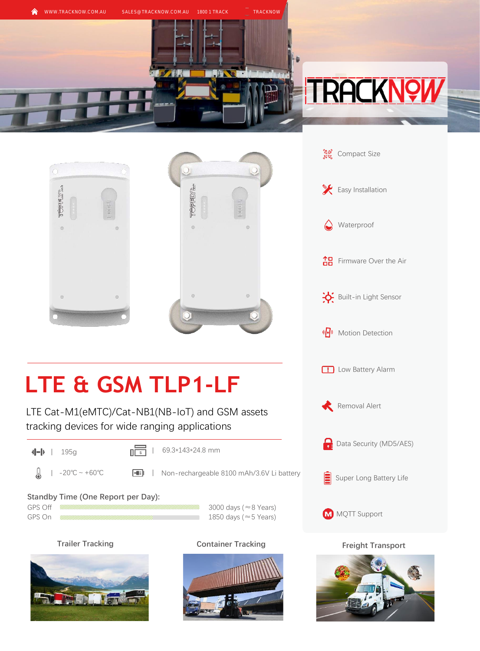





## **LTE & GSM TLP1-LF**

LTE Cat-M1(eMTC)/Cat-NB1(NB-IoT) and GSM assets tracking devices for wide ranging applications

 $\sqrt{\frac{1}{s}}$  | 69.3\*143\*24.8 mm

A -20℃ ~ +60℃ Non-rechargeable 8100 mAh/3.6V Li battery

**Standby Time (One Report per Day):** 

GPS Off  $\frac{1}{2}$  3000 days ( $\approx$ 8 Years) GPS On  $\frac{m}{2}$  GPS On  $\frac{m}{2}$   $\frac{m}{2}$   $\frac{m}{2}$   $\frac{m}{2}$   $\frac{m}{2}$   $\frac{m}{2}$   $\frac{m}{2}$   $\frac{m}{2}$   $\frac{m}{2}$   $\frac{m}{2}$   $\frac{m}{2}$   $\frac{m}{2}$   $\frac{m}{2}$   $\frac{m}{2}$   $\frac{m}{2}$   $\frac{m}{2}$   $\frac{m}{2}$   $\frac{m}{2}$   $\frac{m}{2}$   $\frac{m}{2$ 







**Trailer Tracking <b>Container Tracking Freight Transport Freight Transport**